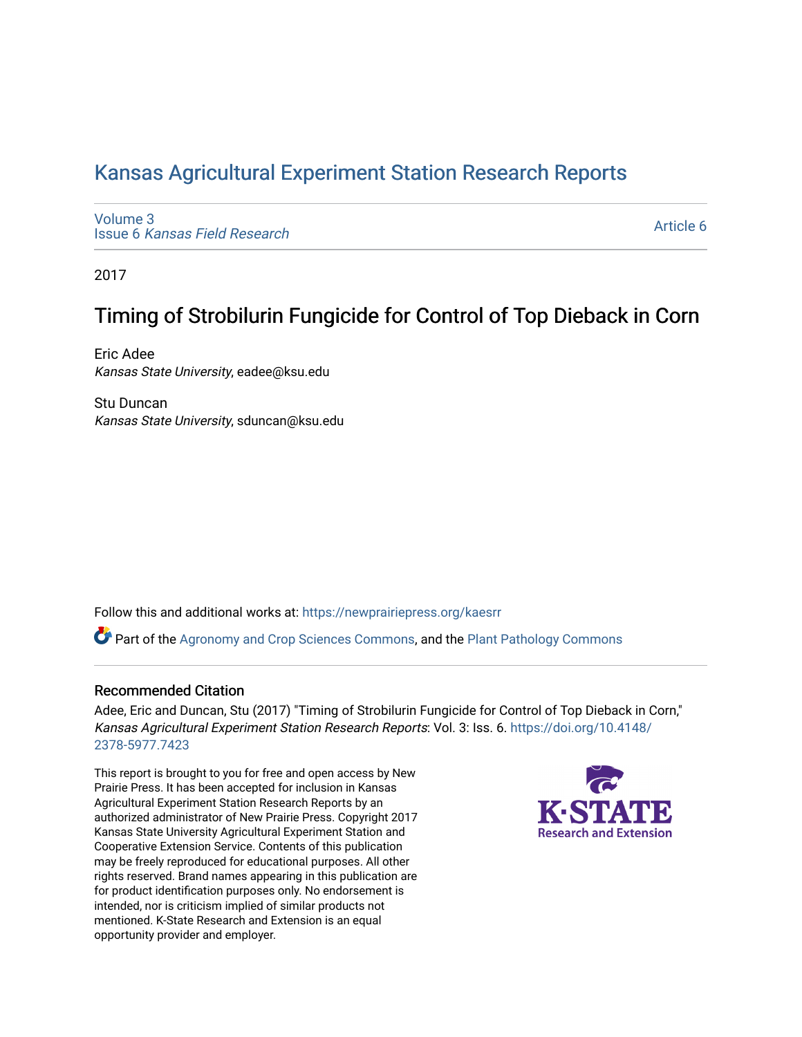# [Kansas Agricultural Experiment Station Research Reports](https://newprairiepress.org/kaesrr)

[Volume 3](https://newprairiepress.org/kaesrr/vol3) Issue 6 [Kansas Field Research](https://newprairiepress.org/kaesrr/vol3/iss6) 

[Article 6](https://newprairiepress.org/kaesrr/vol3/iss6/6) 

2017

# Timing of Strobilurin Fungicide for Control of Top Dieback in Corn

Eric Adee Kansas State University, eadee@ksu.edu

Stu Duncan Kansas State University, sduncan@ksu.edu

Follow this and additional works at: [https://newprairiepress.org/kaesrr](https://newprairiepress.org/kaesrr?utm_source=newprairiepress.org%2Fkaesrr%2Fvol3%2Fiss6%2F6&utm_medium=PDF&utm_campaign=PDFCoverPages) 

Part of the [Agronomy and Crop Sciences Commons,](http://network.bepress.com/hgg/discipline/103?utm_source=newprairiepress.org%2Fkaesrr%2Fvol3%2Fiss6%2F6&utm_medium=PDF&utm_campaign=PDFCoverPages) and the [Plant Pathology Commons](http://network.bepress.com/hgg/discipline/107?utm_source=newprairiepress.org%2Fkaesrr%2Fvol3%2Fiss6%2F6&utm_medium=PDF&utm_campaign=PDFCoverPages) 

#### Recommended Citation

Adee, Eric and Duncan, Stu (2017) "Timing of Strobilurin Fungicide for Control of Top Dieback in Corn," Kansas Agricultural Experiment Station Research Reports: Vol. 3: Iss. 6. [https://doi.org/10.4148/](https://doi.org/10.4148/2378-5977.7423) [2378-5977.7423](https://doi.org/10.4148/2378-5977.7423) 

This report is brought to you for free and open access by New Prairie Press. It has been accepted for inclusion in Kansas Agricultural Experiment Station Research Reports by an authorized administrator of New Prairie Press. Copyright 2017 Kansas State University Agricultural Experiment Station and Cooperative Extension Service. Contents of this publication may be freely reproduced for educational purposes. All other rights reserved. Brand names appearing in this publication are for product identification purposes only. No endorsement is intended, nor is criticism implied of similar products not mentioned. K-State Research and Extension is an equal opportunity provider and employer.

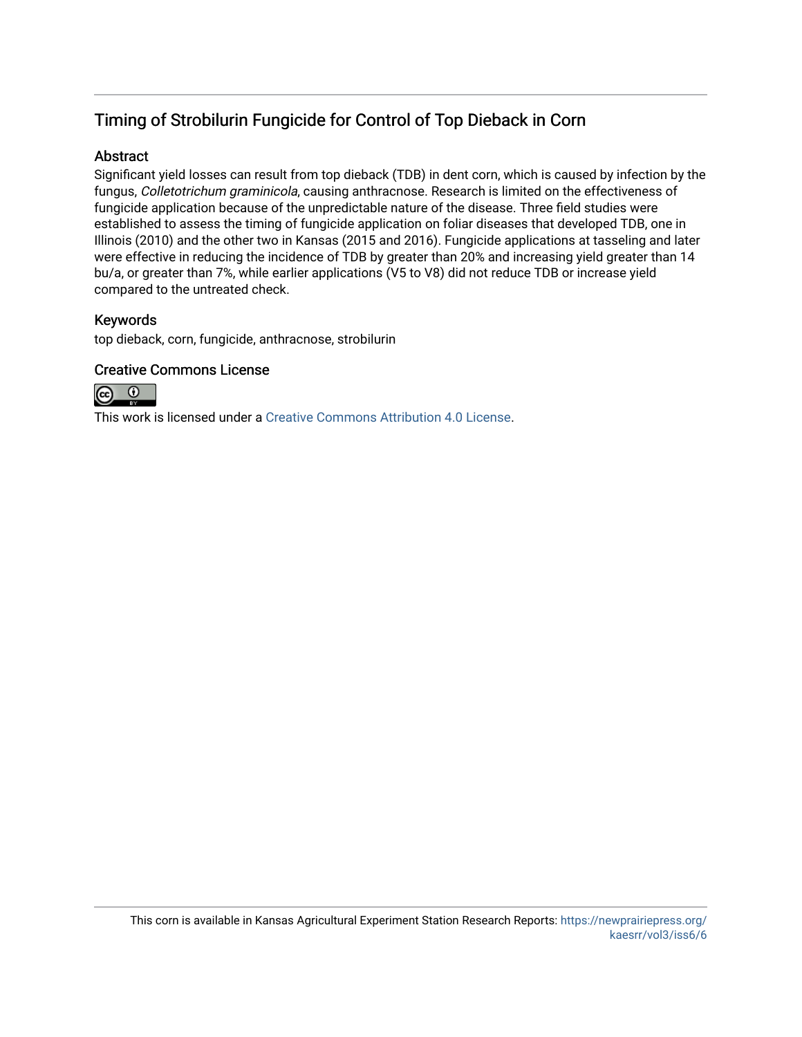## Timing of Strobilurin Fungicide for Control of Top Dieback in Corn

### Abstract

Significant yield losses can result from top dieback (TDB) in dent corn, which is caused by infection by the fungus, Colletotrichum graminicola, causing anthracnose. Research is limited on the effectiveness of fungicide application because of the unpredictable nature of the disease. Three field studies were established to assess the timing of fungicide application on foliar diseases that developed TDB, one in Illinois (2010) and the other two in Kansas (2015 and 2016). Fungicide applications at tasseling and later were effective in reducing the incidence of TDB by greater than 20% and increasing yield greater than 14 bu/a, or greater than 7%, while earlier applications (V5 to V8) did not reduce TDB or increase yield compared to the untreated check.

## Keywords

top dieback, corn, fungicide, anthracnose, strobilurin

### Creative Commons License



This work is licensed under a [Creative Commons Attribution 4.0 License](https://creativecommons.org/licenses/by/4.0/).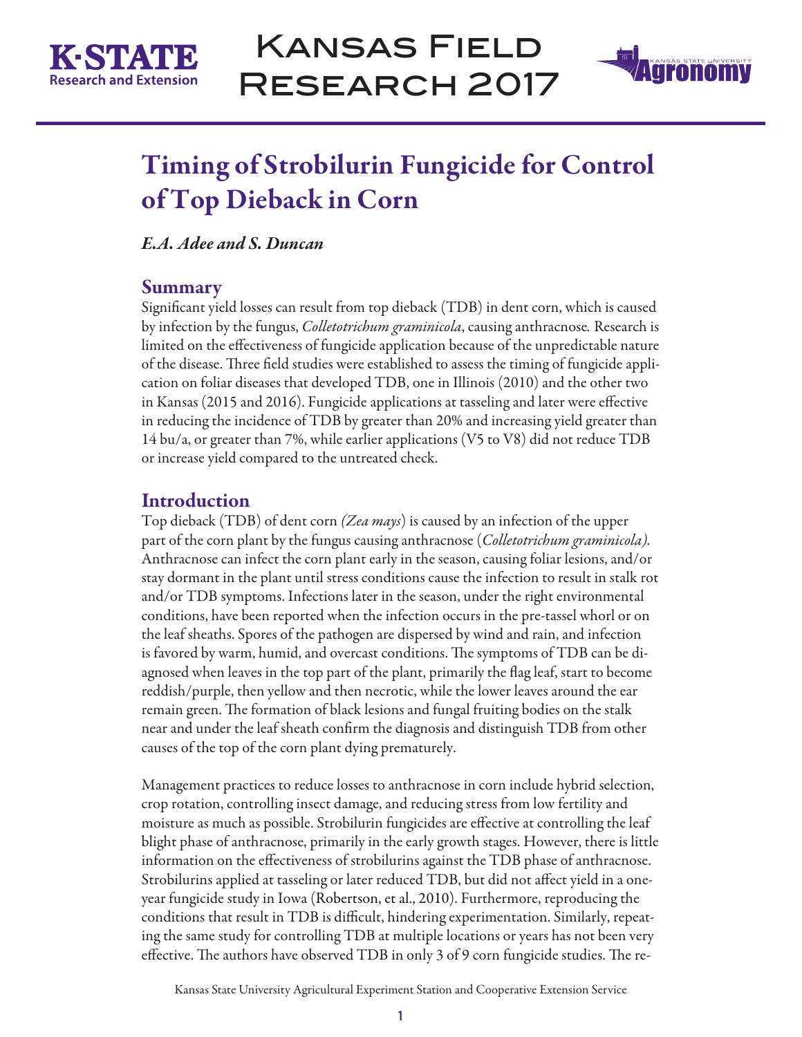



# Timing of Strobilurin Fungicide for Control of Top Dieback in Corn

## *E.A. Adee and S. Duncan*

## Summary

Significant yield losses can result from top dieback (TDB) in dent corn, which is caused by infection by the fungus, *Colletotrichum graminicola*, causing anthracnose*.* Research is limited on the effectiveness of fungicide application because of the unpredictable nature of the disease. Three field studies were established to assess the timing of fungicide application on foliar diseases that developed TDB, one in Illinois (2010) and the other two in Kansas (2015 and 2016). Fungicide applications at tasseling and later were effective in reducing the incidence of TDB by greater than 20% and increasing yield greater than 14 bu/a, or greater than 7%, while earlier applications (V5 to V8) did not reduce TDB or increase yield compared to the untreated check.

## Introduction

Top dieback (TDB) of dent corn *(Zea mays*) is caused by an infection of the upper part of the corn plant by the fungus causing anthracnose (*Colletotrichum graminicola).*  Anthracnose can infect the corn plant early in the season, causing foliar lesions, and/or stay dormant in the plant until stress conditions cause the infection to result in stalk rot and/or TDB symptoms. Infections later in the season, under the right environmental conditions, have been reported when the infection occurs in the pre-tassel whorl or on the leaf sheaths. Spores of the pathogen are dispersed by wind and rain, and infection is favored by warm, humid, and overcast conditions. The symptoms of TDB can be diagnosed when leaves in the top part of the plant, primarily the flag leaf, start to become reddish/purple, then yellow and then necrotic, while the lower leaves around the ear remain green. The formation of black lesions and fungal fruiting bodies on the stalk near and under the leaf sheath confirm the diagnosis and distinguish TDB from other causes of the top of the corn plant dying prematurely.

Management practices to reduce losses to anthracnose in corn include hybrid selection, crop rotation, controlling insect damage, and reducing stress from low fertility and moisture as much as possible. Strobilurin fungicides are effective at controlling the leaf blight phase of anthracnose, primarily in the early growth stages. However, there is little information on the effectiveness of strobilurins against the TDB phase of anthracnose. Strobilurins applied at tasseling or later reduced TDB, but did not affect yield in a oneyear fungicide study in Iowa (Robertson, et al., 2010). Furthermore, reproducing the conditions that result in TDB is difficult, hindering experimentation. Similarly, repeating the same study for controlling TDB at multiple locations or years has not been very effective. The authors have observed TDB in only 3 of 9 corn fungicide studies. The re-

Kansas State University Agricultural Experiment Station and Cooperative Extension Service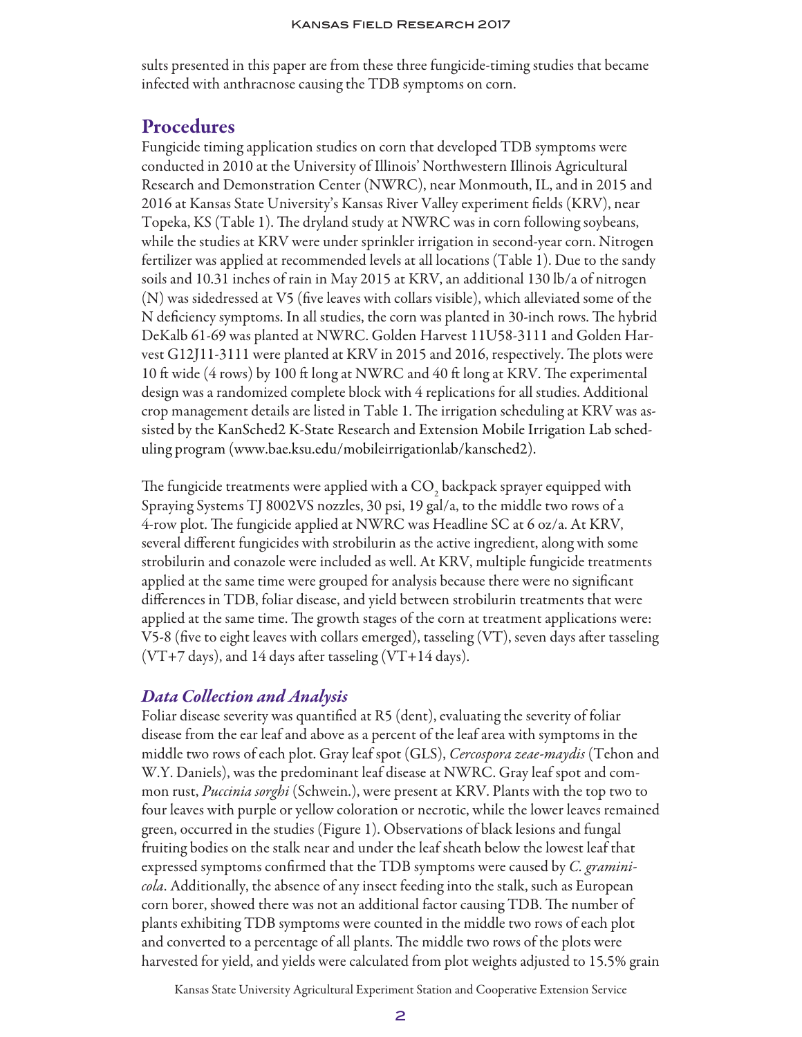sults presented in this paper are from these three fungicide-timing studies that became infected with anthracnose causing the TDB symptoms on corn.

## Procedures

Fungicide timing application studies on corn that developed TDB symptoms were conducted in 2010 at the University of Illinois' Northwestern Illinois Agricultural Research and Demonstration Center (NWRC), near Monmouth, IL, and in 2015 and 2016 at Kansas State University's Kansas River Valley experiment fields (KRV), near Topeka, KS (Table 1). The dryland study at NWRC was in corn following soybeans, while the studies at KRV were under sprinkler irrigation in second-year corn. Nitrogen fertilizer was applied at recommended levels at all locations (Table 1). Due to the sandy soils and 10.31 inches of rain in May 2015 at KRV, an additional 130 lb/a of nitrogen (N) was sidedressed at V5 (five leaves with collars visible), which alleviated some of the N deficiency symptoms. In all studies, the corn was planted in 30-inch rows. The hybrid DeKalb 61-69 was planted at NWRC. Golden Harvest 11U58-3111 and Golden Harvest G12J11-3111 were planted at KRV in 2015 and 2016, respectively. The plots were 10 ft wide (4 rows) by 100 ft long at NWRC and 40 ft long at KRV. The experimental design was a randomized complete block with 4 replications for all studies. Additional crop management details are listed in Table 1. The irrigation scheduling at KRV was assisted by the KanSched2 K-State Research and Extension Mobile Irrigation Lab scheduling program (www.bae.ksu.edu/mobileirrigationlab/kansched2).

The fungicide treatments were applied with a CO<sub>2</sub> backpack sprayer equipped with Spraying Systems TJ 8002VS nozzles, 30 psi, 19 gal/a, to the middle two rows of a 4-row plot. The fungicide applied at NWRC was Headline SC at 6 oz/a. At KRV, several different fungicides with strobilurin as the active ingredient, along with some strobilurin and conazole were included as well. At KRV, multiple fungicide treatments applied at the same time were grouped for analysis because there were no significant differences in TDB, foliar disease, and yield between strobilurin treatments that were applied at the same time. The growth stages of the corn at treatment applications were: V5-8 (five to eight leaves with collars emerged), tasseling (VT), seven days after tasseling  $(VT+7 \text{ days})$ , and 14 days after tasseling  $(VT+14 \text{ days})$ .

### *Data Collection and Analysis*

Foliar disease severity was quantified at R5 (dent), evaluating the severity of foliar disease from the ear leaf and above as a percent of the leaf area with symptoms in the middle two rows of each plot. Gray leaf spot (GLS), *Cercospora zeae-maydis* (Tehon and W.Y. Daniels), was the predominant leaf disease at NWRC. Gray leaf spot and common rust, *Puccinia sorghi* (Schwein.), were present at KRV. Plants with the top two to four leaves with purple or yellow coloration or necrotic, while the lower leaves remained green, occurred in the studies (Figure 1). Observations of black lesions and fungal fruiting bodies on the stalk near and under the leaf sheath below the lowest leaf that expressed symptoms confirmed that the TDB symptoms were caused by *C. graminicola*. Additionally, the absence of any insect feeding into the stalk, such as European corn borer, showed there was not an additional factor causing TDB. The number of plants exhibiting TDB symptoms were counted in the middle two rows of each plot and converted to a percentage of all plants. The middle two rows of the plots were harvested for yield, and yields were calculated from plot weights adjusted to 15.5% grain

Kansas State University Agricultural Experiment Station and Cooperative Extension Service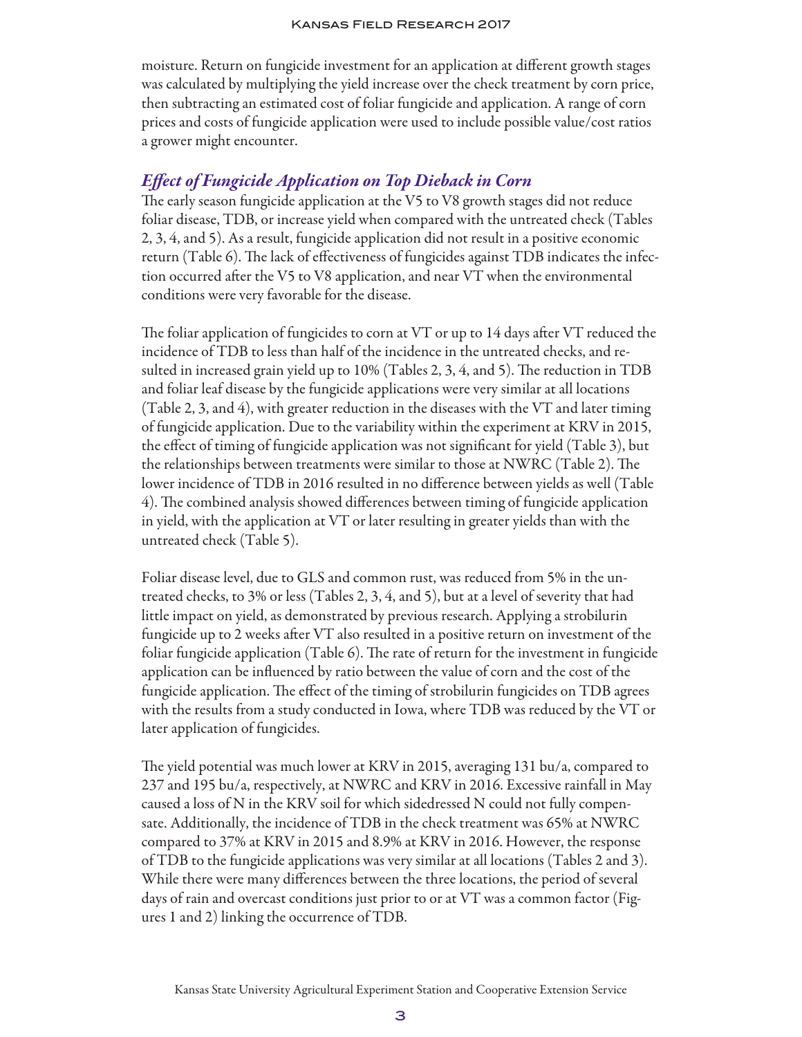moisture. Return on fungicide investment for an application at different growth stages was calculated by multiplying the yield increase over the check treatment by corn price, then subtracting an estimated cost of foliar fungicide and application. A range of corn prices and costs of fungicide application were used to include possible value/cost ratios a grower might encounter.

## *Effect of Fungicide Application on Top Dieback in Corn*

The early season fungicide application at the V5 to V8 growth stages did not reduce foliar disease, TDB, or increase yield when compared with the untreated check (Tables 2, 3, 4, and 5). As a result, fungicide application did not result in a positive economic return (Table 6). The lack of effectiveness of fungicides against TDB indicates the infection occurred after the V5 to V8 application, and near VT when the environmental conditions were very favorable for the disease.

The foliar application of fungicides to corn at VT or up to 14 days after VT reduced the incidence of TDB to less than half of the incidence in the untreated checks, and resulted in increased grain yield up to 10% (Tables 2, 3, 4, and 5). The reduction in TDB and foliar leaf disease by the fungicide applications were very similar at all locations (Table 2, 3, and 4), with greater reduction in the diseases with the VT and later timing of fungicide application. Due to the variability within the experiment at KRV in 2015, the effect of timing of fungicide application was not significant for yield (Table 3), but the relationships between treatments were similar to those at NWRC (Table 2). The lower incidence of TDB in 2016 resulted in no difference between yields as well (Table 4). The combined analysis showed differences between timing of fungicide application in yield, with the application at VT or later resulting in greater yields than with the untreated check (Table 5).

Foliar disease level, due to GLS and common rust, was reduced from 5% in the untreated checks, to 3% or less (Tables 2, 3, 4, and 5), but at a level of severity that had little impact on yield, as demonstrated by previous research. Applying a strobilurin fungicide up to 2 weeks after VT also resulted in a positive return on investment of the foliar fungicide application (Table 6). The rate of return for the investment in fungicide application can be influenced by ratio between the value of corn and the cost of the fungicide application. The effect of the timing of strobilurin fungicides on TDB agrees with the results from a study conducted in Iowa, where TDB was reduced by the VT or later application of fungicides.

The yield potential was much lower at KRV in 2015, averaging 131 bu/a, compared to 237 and 195 bu/a, respectively, at NWRC and KRV in 2016. Excessive rainfall in May caused a loss of N in the KRV soil for which sidedressed N could not fully compensate. Additionally, the incidence of TDB in the check treatment was 65% at NWRC compared to 37% at KRV in 2015 and 8.9% at KRV in 2016. However, the response of TDB to the fungicide applications was very similar at all locations (Tables 2 and 3). While there were many differences between the three locations, the period of several days of rain and overcast conditions just prior to or at VT was a common factor (Figures 1 and 2) linking the occurrence of TDB.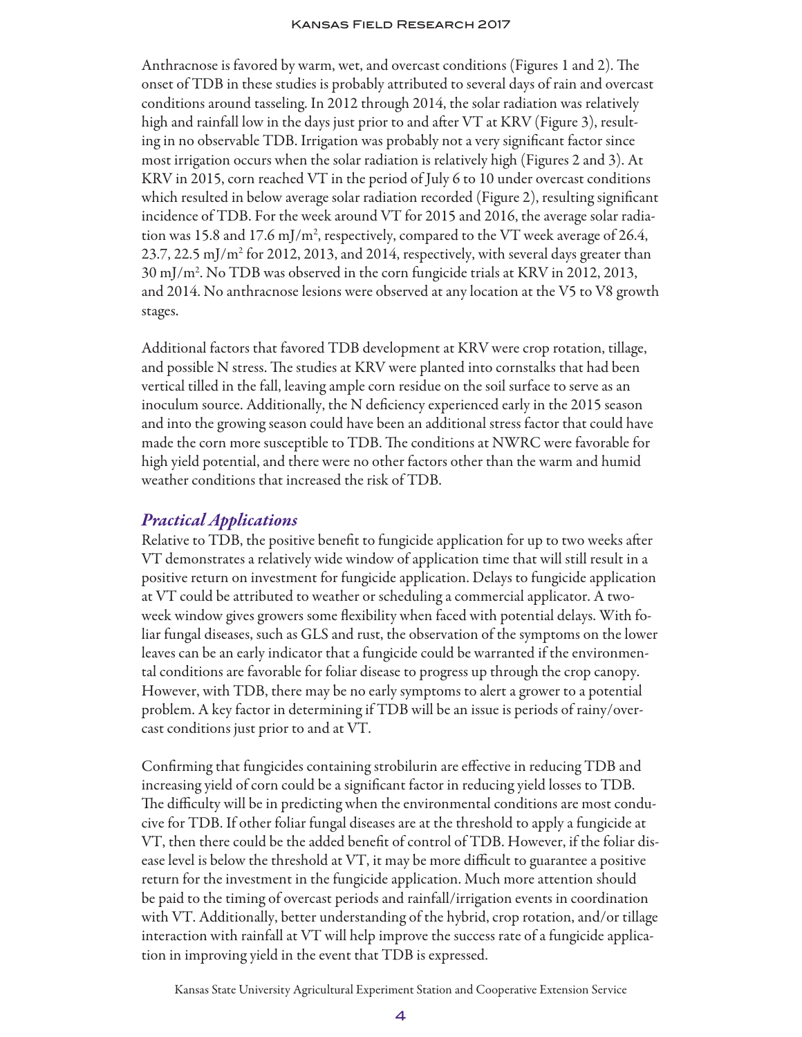Anthracnose is favored by warm, wet, and overcast conditions (Figures 1 and 2). The onset of TDB in these studies is probably attributed to several days of rain and overcast conditions around tasseling. In 2012 through 2014, the solar radiation was relatively high and rainfall low in the days just prior to and after VT at KRV (Figure 3), resulting in no observable TDB. Irrigation was probably not a very significant factor since most irrigation occurs when the solar radiation is relatively high (Figures 2 and 3). At KRV in 2015, corn reached VT in the period of July 6 to 10 under overcast conditions which resulted in below average solar radiation recorded (Figure 2), resulting significant incidence of TDB. For the week around VT for 2015 and 2016, the average solar radiation was 15.8 and 17.6 mJ/m<sup>2</sup>, respectively, compared to the VT week average of 26.4, 23.7, 22.5 mJ/m2 for 2012, 2013, and 2014, respectively, with several days greater than 30 mJ/m2 . No TDB was observed in the corn fungicide trials at KRV in 2012, 2013, and 2014. No anthracnose lesions were observed at any location at the V5 to V8 growth stages.

Additional factors that favored TDB development at KRV were crop rotation, tillage, and possible N stress. The studies at KRV were planted into cornstalks that had been vertical tilled in the fall, leaving ample corn residue on the soil surface to serve as an inoculum source. Additionally, the N deficiency experienced early in the 2015 season and into the growing season could have been an additional stress factor that could have made the corn more susceptible to TDB. The conditions at NWRC were favorable for high yield potential, and there were no other factors other than the warm and humid weather conditions that increased the risk of TDB.

#### *Practical Applications*

Relative to TDB, the positive benefit to fungicide application for up to two weeks after VT demonstrates a relatively wide window of application time that will still result in a positive return on investment for fungicide application. Delays to fungicide application at VT could be attributed to weather or scheduling a commercial applicator. A twoweek window gives growers some flexibility when faced with potential delays. With foliar fungal diseases, such as GLS and rust, the observation of the symptoms on the lower leaves can be an early indicator that a fungicide could be warranted if the environmental conditions are favorable for foliar disease to progress up through the crop canopy. However, with TDB, there may be no early symptoms to alert a grower to a potential problem. A key factor in determining if TDB will be an issue is periods of rainy/overcast conditions just prior to and at VT.

Confirming that fungicides containing strobilurin are effective in reducing TDB and increasing yield of corn could be a significant factor in reducing yield losses to TDB. The difficulty will be in predicting when the environmental conditions are most conducive for TDB. If other foliar fungal diseases are at the threshold to apply a fungicide at VT, then there could be the added benefit of control of TDB. However, if the foliar disease level is below the threshold at VT, it may be more difficult to guarantee a positive return for the investment in the fungicide application. Much more attention should be paid to the timing of overcast periods and rainfall/irrigation events in coordination with VT. Additionally, better understanding of the hybrid, crop rotation, and/or tillage interaction with rainfall at VT will help improve the success rate of a fungicide application in improving yield in the event that TDB is expressed.

Kansas State University Agricultural Experiment Station and Cooperative Extension Service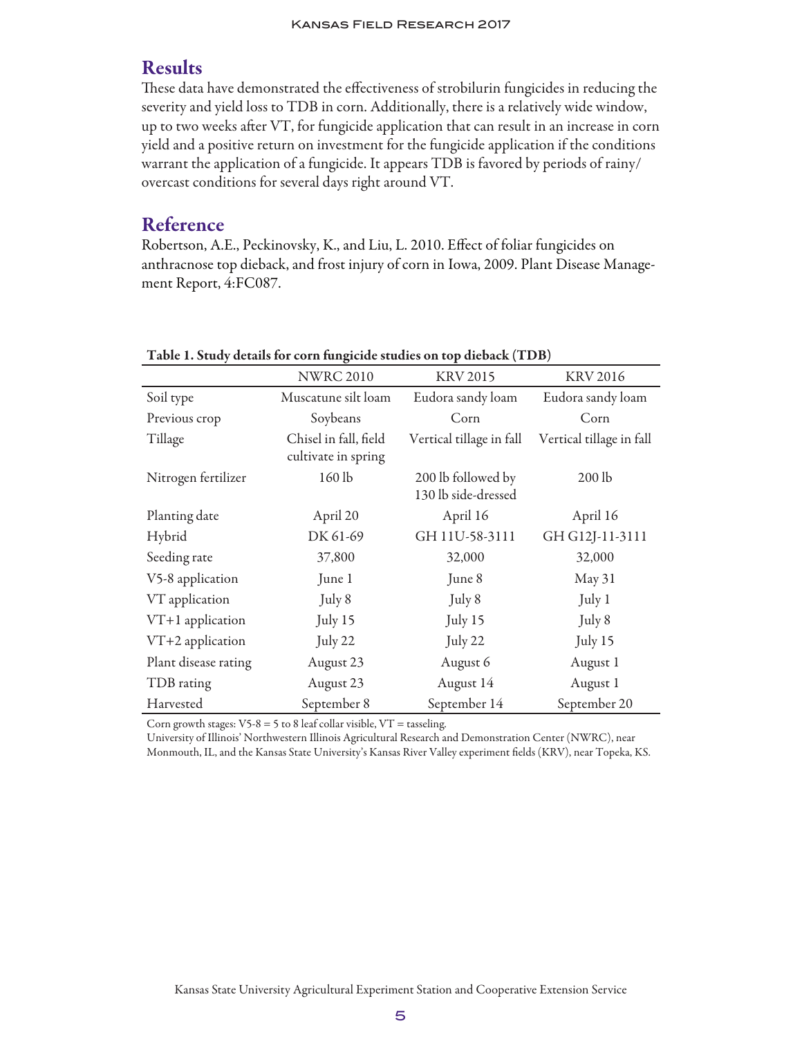## Results

These data have demonstrated the effectiveness of strobilurin fungicides in reducing the severity and yield loss to TDB in corn. Additionally, there is a relatively wide window, up to two weeks after VT, for fungicide application that can result in an increase in corn yield and a positive return on investment for the fungicide application if the conditions warrant the application of a fungicide. It appears TDB is favored by periods of rainy/ overcast conditions for several days right around VT.

## Reference

Robertson, A.E., Peckinovsky, K., and Liu, L. 2010. Effect of foliar fungicides on anthracnose top dieback, and frost injury of corn in Iowa, 2009. Plant Disease Management Report, 4:FC087.

|                      | o                                            |                                           |                          |
|----------------------|----------------------------------------------|-------------------------------------------|--------------------------|
|                      | <b>NWRC 2010</b>                             | <b>KRV 2015</b>                           | <b>KRV 2016</b>          |
| Soil type            | Muscatune silt loam                          | Eudora sandy loam                         | Eudora sandy loam        |
| Previous crop        | Soybeans                                     | Corn                                      | Corn                     |
| Tillage              | Chisel in fall, field<br>cultivate in spring | Vertical tillage in fall                  | Vertical tillage in fall |
| Nitrogen fertilizer  | 160 lb                                       | 200 lb followed by<br>130 lb side-dressed | $200$ lb                 |
| Planting date        | April 20                                     | April 16                                  | April 16                 |
| Hybrid               | DK 61-69                                     | GH 11U-58-3111                            | GH G12J-11-3111          |
| Seeding rate         | 37,800                                       | 32,000                                    | 32,000                   |
| V5-8 application     | June 1                                       | June 8                                    | May 31                   |
| VT application       | July 8                                       | July 8                                    | July 1                   |
| $VT+1$ application   | July 15                                      | July 15                                   | July 8                   |
| VT+2 application     | July 22                                      | July 22                                   | July 15                  |
| Plant disease rating | August 23                                    | August 6                                  | August 1                 |
| TDB rating           | August 23                                    | August 14                                 | August 1                 |
| Harvested            | September 8                                  | September 14                              | September 20             |

Table 1. Study details for corn fungicide studies on top dieback (TDB)

Corn growth stages:  $V5-8 = 5$  to 8 leaf collar visible,  $VT =$  tasseling.

University of Illinois' Northwestern Illinois Agricultural Research and Demonstration Center (NWRC), near Monmouth, IL, and the Kansas State University's Kansas River Valley experiment fields (KRV), near Topeka, KS.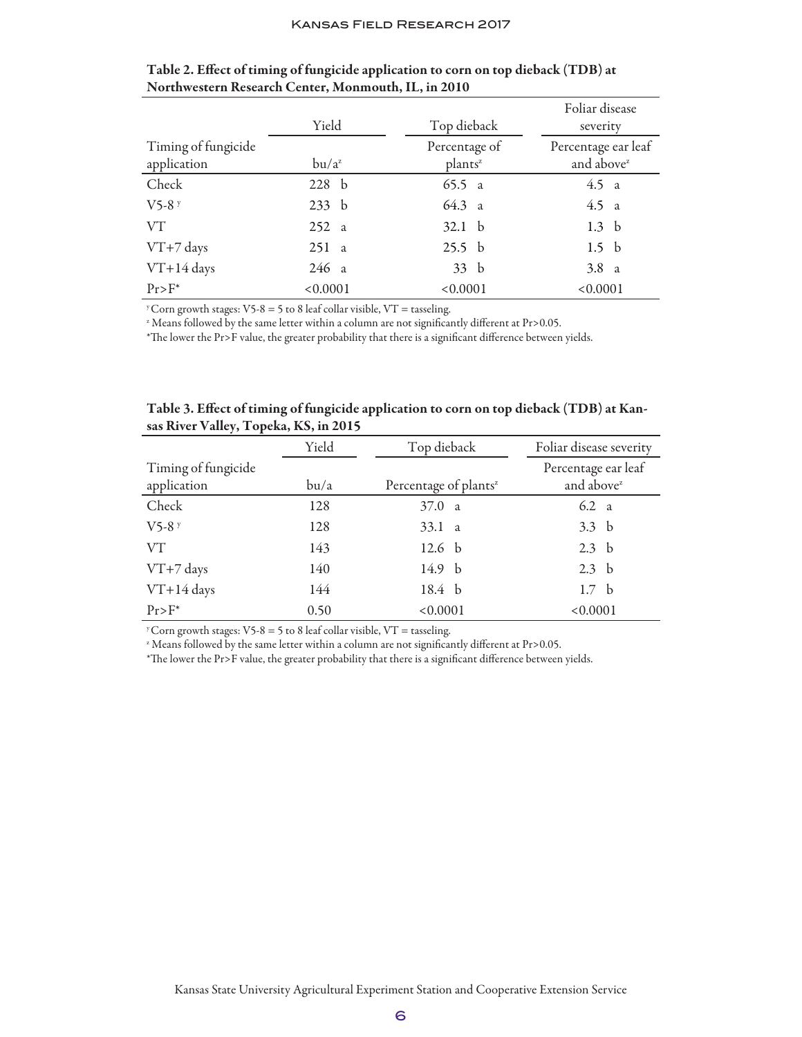|                                    |          |                                      | Foliar disease                                |
|------------------------------------|----------|--------------------------------------|-----------------------------------------------|
|                                    | Yield    | Top dieback                          | severity                                      |
| Timing of fungicide<br>application | $bu/a^z$ | Percentage of<br>plants <sup>2</sup> | Percentage ear leaf<br>and above <sup>z</sup> |
| Check                              | 228 b    | 65.5 a                               | 4.5 a                                         |
| $V$ 5-8 $y$                        | 233 b    | 64.3 a                               | 4.5 a                                         |
| VT                                 | 252a     | 32.1 <sub>b</sub>                    | 1.3 <sub>b</sub>                              |
| VT+7 days                          | 251a     | 25.5 <sub>b</sub>                    | 1.5 <sub>b</sub>                              |
| $VT+14$ days                       | 246a     | 33 b                                 | 3.8 <sub>a</sub>                              |
| $Pr > F^*$                         | < 0.0001 | < 0.0001                             | < 0.0001                                      |

Table 2. Effect of timing of fungicide application to corn on top dieback (TDB) at Northwestern Research Center, Monmouth, IL, in 2010

<sup>y</sup> Corn growth stages:  $V5-8 = 5$  to 8 leaf collar visible,  $VT =$  tasseling.

<sup>2</sup> Means followed by the same letter within a column are not significantly different at Pr>0.05.

\*The lower the Pr>F value, the greater probability that there is a significant difference between yields.

| $\mathbf{r}$        |       |                                   |                         |
|---------------------|-------|-----------------------------------|-------------------------|
|                     | Yield | Top dieback                       | Foliar disease severity |
| Timing of fungicide |       |                                   | Percentage ear leaf     |
| application         | bu/a  | Percentage of plants <sup>z</sup> | and above <sup>z</sup>  |
| Check               | 128   | 37.0 a                            | $6.2\alpha$             |
| $V$ 5-8 $y$         | 128   | 33.1 a                            | 3.3 <sub>b</sub>        |
| VT                  | 143   | 12.6 <sub>b</sub>                 | 2.3 <sub>b</sub>        |
| $VT+7$ days         | 140   | 14.9 b                            | 2.3 <sub>b</sub>        |
| $VT+14$ days        | 144   | 18.4 b                            | 1.7 <sub>b</sub>        |
| $Pr > F^*$          | 0.50  | < 0.0001                          | < 0.0001                |

| Table 3. Effect of timing of fungicide application to corn on top dieback (TDB) at Kan- |  |  |  |
|-----------------------------------------------------------------------------------------|--|--|--|
| sas River Valley, Topeka, KS, in 2015                                                   |  |  |  |

<sup>y</sup> Corn growth stages:  $V5-8 = 5$  to 8 leaf collar visible,  $VT =$  tasseling.

<sup>z</sup> Means followed by the same letter within a column are not significantly different at Pr>0.05.

\*The lower the Pr>F value, the greater probability that there is a significant difference between yields.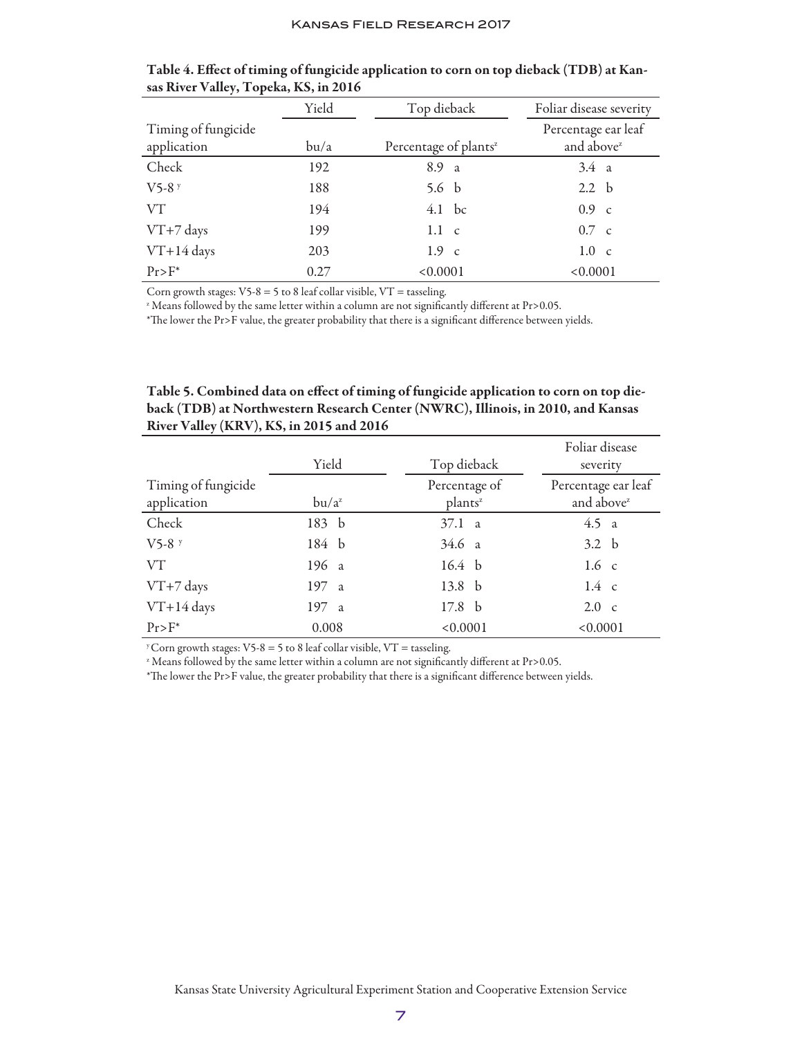|                     | Yield | Top dieback                       | Foliar disease severity |
|---------------------|-------|-----------------------------------|-------------------------|
| Timing of fungicide |       |                                   | Percentage ear leaf     |
| application         | bu/a  | Percentage of plants <sup>z</sup> | and above <sup>z</sup>  |
| Check               | 192   | 8.9 a                             | $3.4 \text{ a}$         |
| $V$ 5-8 $y$         | 188   | 5.6 $\ b$                         | 2.2 <sub>b</sub>        |
| VT                  | 194   | $4.1$ bc                          | $0.9\ c$                |
| VT+7 days           | 199   | $1.1\phantom{0}c$                 | $0.7\ c$                |
| VT+14 days          | 203   | $1.9 \text{ c}$                   | $1.0\nc$                |
| $Pr>E^*$            | 0.27  | < 0.0001                          | < 0.0001                |

Table 4. Effect of timing of fungicide application to corn on top dieback (TDB) at Kansas River Valley, Topeka, KS, in 2016

Corn growth stages:  $V5-8 = 5$  to 8 leaf collar visible,  $VT =$  tasseling.

<sup>2</sup> Means followed by the same letter within a column are not significantly different at Pr>0.05.

\*The lower the Pr>F value, the greater probability that there is a significant difference between yields.

| Table 5. Combined data on effect of timing of fungicide application to corn on top die- |
|-----------------------------------------------------------------------------------------|
| back (TDB) at Northwestern Research Center (NWRC), Illinois, in 2010, and Kansas        |
| River Valley (KRV), KS, in 2015 and 2016                                                |

|                     |          |                     | Foliar disease         |
|---------------------|----------|---------------------|------------------------|
|                     | Yield    | Top dieback         | severity               |
| Timing of fungicide |          | Percentage of       | Percentage ear leaf    |
| application         | $bu/a^z$ | plants <sup>z</sup> | and above <sup>z</sup> |
| Check               | 183 b    | 37.1 a              | 4.5 a                  |
| $V$ 5-8 $y$         | 184 b    | 34.6 a              | 3.2 <sub>b</sub>       |
| VT                  | 196 a    | 16.4 <sub>b</sub>   | 1.6 <sub>c</sub>       |
| VT+7 days           | 197 a    | 13.8 <sub>b</sub>   | $1.4\ c$               |
| VT+14 days          | 197 a    | 17.8 <sub>b</sub>   | $2.0\nc$               |
| $Pr > F^*$          | 0.008    | < 0.0001            | < 0.0001               |

<sup>y</sup> Corn growth stages:  $V5-8 = 5$  to 8 leaf collar visible,  $VT =$  tasseling.

<sup>2</sup> Means followed by the same letter within a column are not significantly different at Pr>0.05.

\*The lower the Pr>F value, the greater probability that there is a significant difference between yields.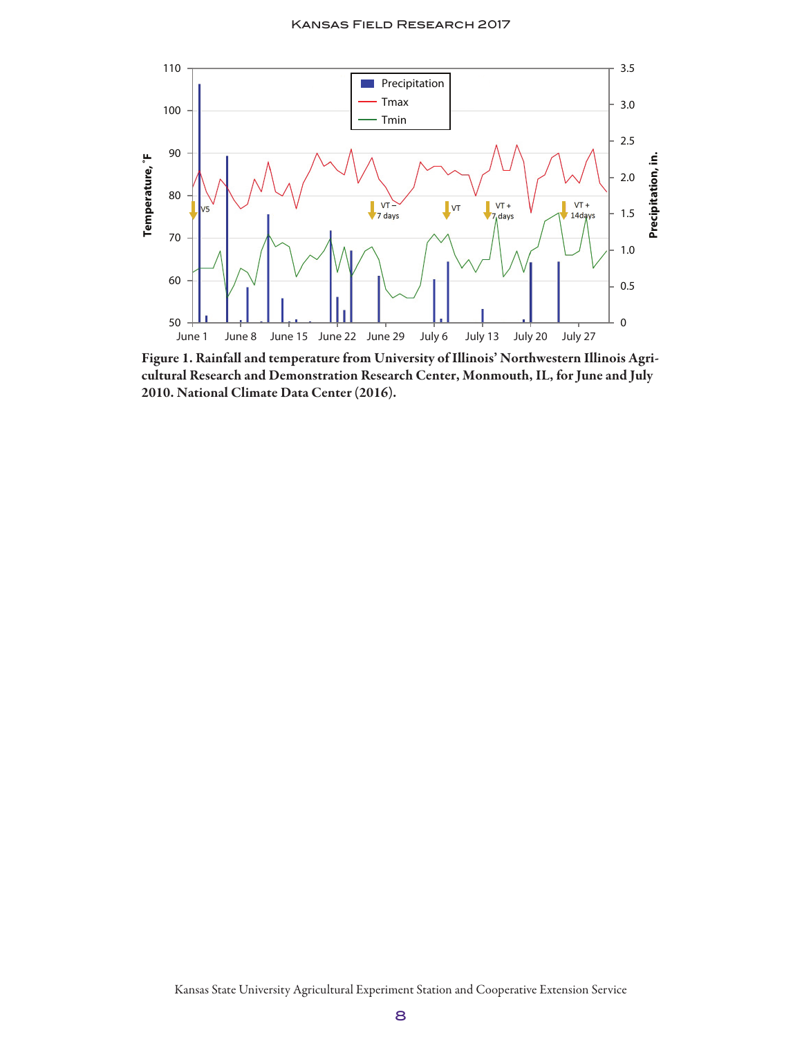

Figure 1. Rainfall and temperature from University of Illinois' Northwestern Illinois Agricultural Research and Demonstration Research Center, Monmouth, IL, for June and July 2010. National Climate Data Center (2016).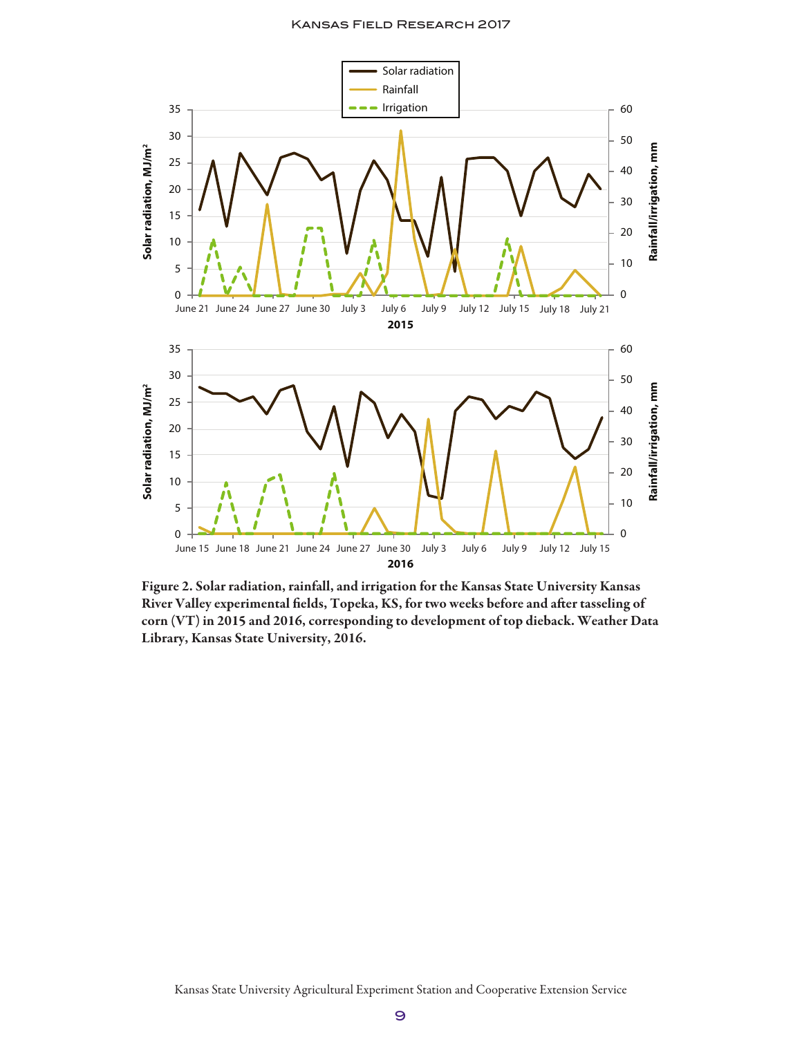

Figure 2. Solar radiation, rainfall, and irrigation for the Kansas State University Kansas River Valley experimental fields, Topeka, KS, for two weeks before and after tasseling of corn (VT) in 2015 and 2016, corresponding to development of top dieback. Weather Data Library, Kansas State University, 2016.